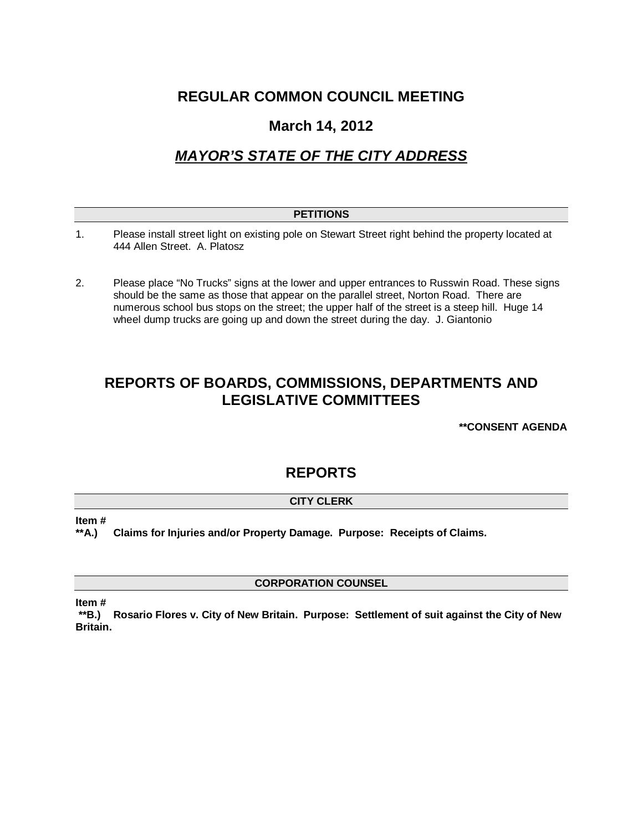## **REGULAR COMMON COUNCIL MEETING**

### **March 14, 2012**

# *MAYOR'S STATE OF THE CITY ADDRESS*

| <b>PETITIONS</b> |                                                                                                                                                                                                                                                                                          |
|------------------|------------------------------------------------------------------------------------------------------------------------------------------------------------------------------------------------------------------------------------------------------------------------------------------|
| 1.               | Please install street light on existing pole on Stewart Street right behind the property located at<br>444 Allen Street. A. Platosz                                                                                                                                                      |
| 2.               | Please place "No Trucks" signs at the lower and upper entrances to Russwin Road. These signs<br>should be the same as those that appear on the parallel street, Norton Road. There are<br>numerous school bus stops on the street; the upper half of the street is a steep hill. Huge 14 |

wheel dump trucks are going up and down the street during the day. J. Giantonio

# **REPORTS OF BOARDS, COMMISSIONS, DEPARTMENTS AND LEGISLATIVE COMMITTEES**

**\*\*CONSENT AGENDA**

### **REPORTS**

### **CITY CLERK**

**Item #**

**\*\*A.) Claims for Injuries and/or Property Damage. Purpose: Receipts of Claims.**

**CORPORATION COUNSEL**

**Item #**

**\*\*B.) Rosario Flores v. City of New Britain. Purpose: Settlement of suit against the City of New Britain.**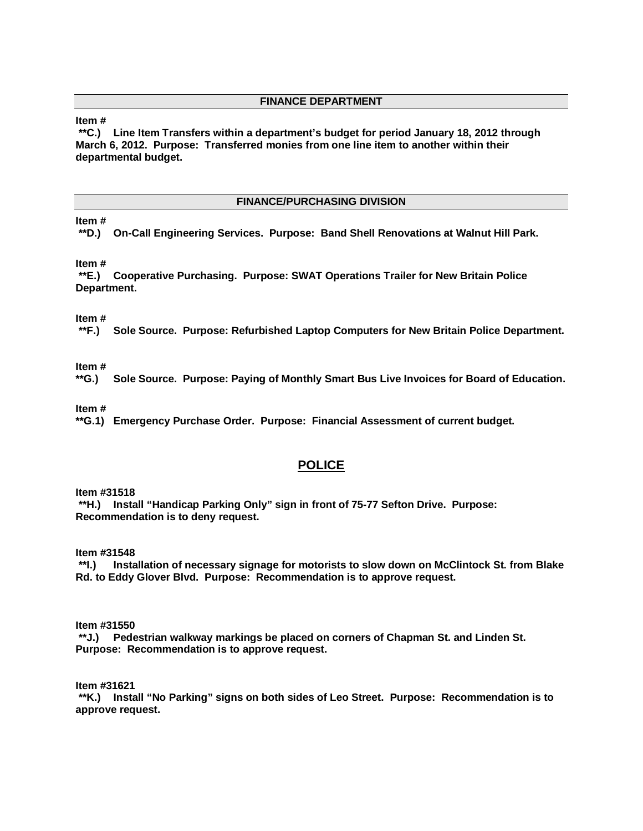#### **FINANCE DEPARTMENT**

### **Item #**

**\*\*C.) Line Item Transfers within a department's budget for period January 18, 2012 through March 6, 2012. Purpose: Transferred monies from one line item to another within their departmental budget.** 

#### **FINANCE/PURCHASING DIVISION**

#### **Item #**

**\*\*D.) On-Call Engineering Services. Purpose: Band Shell Renovations at Walnut Hill Park.** 

#### **Item #**

**\*\*E.) Cooperative Purchasing. Purpose: SWAT Operations Trailer for New Britain Police Department.** 

**Item #**

**\*\*F.) Sole Source. Purpose: Refurbished Laptop Computers for New Britain Police Department.** 

**Item #**

**\*\*G.) Sole Source. Purpose: Paying of Monthly Smart Bus Live Invoices for Board of Education.** 

**Item #**

**\*\*G.1) Emergency Purchase Order. Purpose: Financial Assessment of current budget.** 

### **POLICE**

**Item #31518**

**\*\*H.) Install "Handicap Parking Only" sign in front of 75-77 Sefton Drive. Purpose: Recommendation is to deny request.**

**Item #31548**

**\*\*I.) Installation of necessary signage for motorists to slow down on McClintock St. from Blake Rd. to Eddy Glover Blvd. Purpose: Recommendation is to approve request.**

**Item #31550**

**\*\*J.) Pedestrian walkway markings be placed on corners of Chapman St. and Linden St. Purpose: Recommendation is to approve request.**

**Item #31621**

**\*\*K.) Install "No Parking" signs on both sides of Leo Street. Purpose: Recommendation is to approve request.**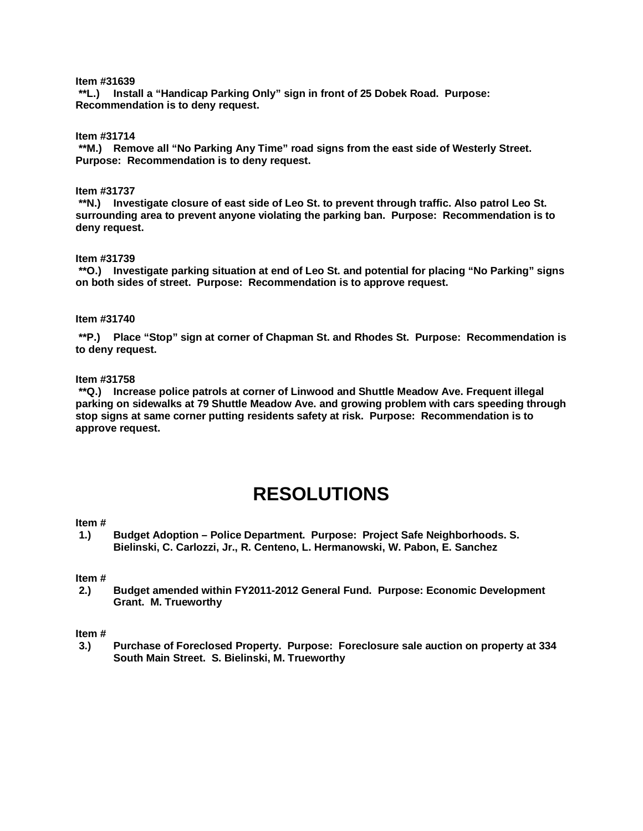#### **Item #31639**

**\*\*L.) Install a "Handicap Parking Only" sign in front of 25 Dobek Road. Purpose: Recommendation is to deny request.**

**Item #31714**

**\*\*M.) Remove all "No Parking Any Time" road signs from the east side of Westerly Street. Purpose: Recommendation is to deny request.** 

#### **Item #31737**

**\*\*N.) Investigate closure of east side of Leo St. to prevent through traffic. Also patrol Leo St. surrounding area to prevent anyone violating the parking ban. Purpose: Recommendation is to deny request.**

#### **Item #31739**

**\*\*O.) Investigate parking situation at end of Leo St. and potential for placing "No Parking" signs on both sides of street. Purpose: Recommendation is to approve request.**

#### **Item #31740**

**\*\*P.) Place "Stop" sign at corner of Chapman St. and Rhodes St. Purpose: Recommendation is to deny request.**

#### **Item #31758**

**\*\*Q.) Increase police patrols at corner of Linwood and Shuttle Meadow Ave. Frequent illegal parking on sidewalks at 79 Shuttle Meadow Ave. and growing problem with cars speeding through stop signs at same corner putting residents safety at risk. Purpose: Recommendation is to approve request.**

# **RESOLUTIONS**

#### **Item #**

**1.) Budget Adoption – Police Department. Purpose: Project Safe Neighborhoods. S. Bielinski, C. Carlozzi, Jr., R. Centeno, L. Hermanowski, W. Pabon, E. Sanchez**

#### **Item #**

**2.) Budget amended within FY2011-2012 General Fund. Purpose: Economic Development Grant. M. Trueworthy**

#### **Item #**

**3.) Purchase of Foreclosed Property. Purpose: Foreclosure sale auction on property at 334 South Main Street. S. Bielinski, M. Trueworthy**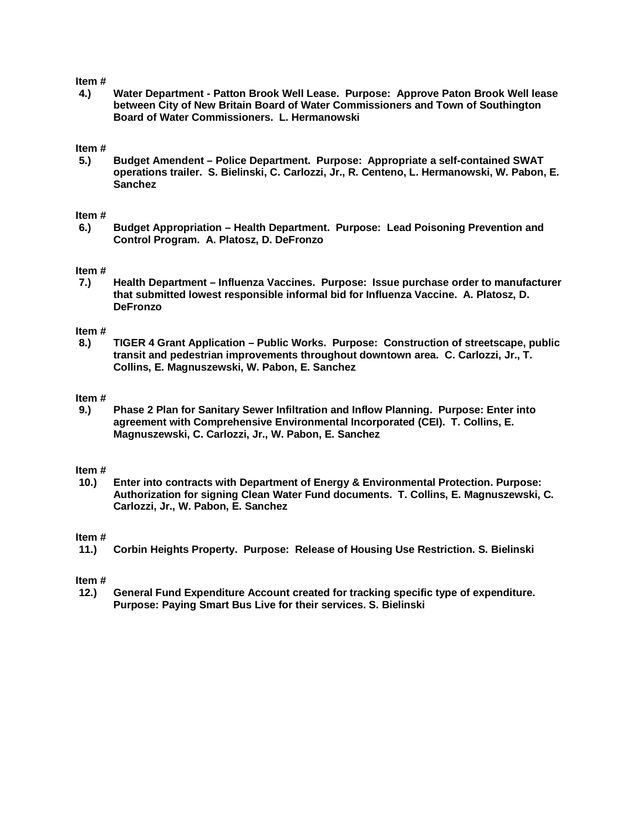#### **Item #**

**4.) Water Department - Patton Brook Well Lease. Purpose: Approve Paton Brook Well lease between City of New Britain Board of Water Commissioners and Town of Southington Board of Water Commissioners. L. Hermanowski** 

#### **Item #**

**5.) Budget Amendent – Police Department. Purpose: Appropriate a self-contained SWAT operations trailer. S. Bielinski, C. Carlozzi, Jr., R. Centeno, L. Hermanowski, W. Pabon, E. Sanchez**

#### **Item #**

**6.) Budget Appropriation – Health Department. Purpose: Lead Poisoning Prevention and Control Program. A. Platosz, D. DeFronzo**

#### **Item #**

**7.) Health Department – Influenza Vaccines. Purpose: Issue purchase order to manufacturer that submitted lowest responsible informal bid for Influenza Vaccine. A. Platosz, D. DeFronzo** 

#### **Item #**

**8.) TIGER 4 Grant Application – Public Works. Purpose: Construction of streetscape, public transit and pedestrian improvements throughout downtown area. C. Carlozzi, Jr., T. Collins, E. Magnuszewski, W. Pabon, E. Sanchez**

#### **Item #**

**9.) Phase 2 Plan for Sanitary Sewer Infiltration and Inflow Planning. Purpose: Enter into agreement with Comprehensive Environmental Incorporated (CEI). T. Collins, E. Magnuszewski, C. Carlozzi, Jr., W. Pabon, E. Sanchez**

#### **Item #**

**10.) Enter into contracts with Department of Energy & Environmental Protection. Purpose: Authorization for signing Clean Water Fund documents. T. Collins, E. Magnuszewski, C. Carlozzi, Jr., W. Pabon, E. Sanchez**

#### **Item #**

**11.) Corbin Heights Property. Purpose: Release of Housing Use Restriction. S. Bielinski**

#### **Item #**

**12.) General Fund Expenditure Account created for tracking specific type of expenditure. Purpose: Paying Smart Bus Live for their services. S. Bielinski**